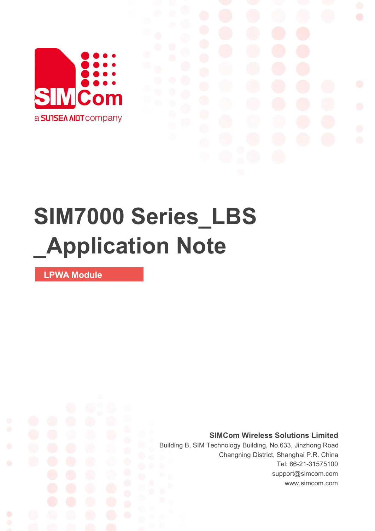

# **SIM7000 Series\_LBS \_Application Note**

**LPWA Module**

Ø

**SIMCom Wireless Solutions Limited**

Building B, SIM Technology Building, No.633, Jinzhong Road Changning District, Shanghai P.R. China Tel: 86-21-31575100 support@simcom.com www.simcom.com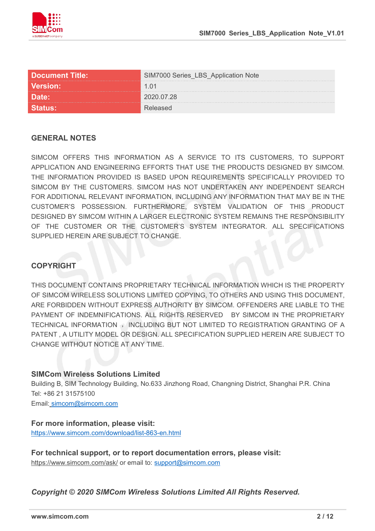

|          | IM7000 Series_LBS_Application Note |
|----------|------------------------------------|
| Version: | 1 () 1                             |
| Date:    | $^{\circ}$ 020.07.28               |
|          |                                    |

#### **GENERAL NOTES**

SIMCOM OFFERS THIS INFORMATION AS A SERVICE TO ITS CUSTOMERS, TO SUPPORT APPLICATION AND ENGINEERING EFFORTS THAT USE THE PRODUCTS DESIGNED BY SIMCOM. THE INFORMATION PROVIDED IS BASED UPON REQUIREMENTS SPECIFICALLY PROVIDED TO SIMCOM BY THE CUSTOMERS. SIMCOM HAS NOT UNDERTAKEN ANY INDEPENDENT SEARCH FOR ADDITIONAL RELEVANT INFORMATION, INCLUDING ANY INFORMATION THAT MAY BE IN THE CUSTOMER'S POSSESSION. FURTHERMORE, SYSTEM VALIDATION OF THIS PRODUCT DESIGNED BY SIMCOM WITHIN A LARGER ELECTRONIC SYSTEM REMAINS THE RESPONSIBILITY OF THE CUSTOMER OR THE CUSTOMER'S SYSTEM INTEGRATOR. ALL SPECIFICATIONS SUPPLIED HEREIN ARE SUBJECT TO CHANGE.

#### **COPYRIGHT**

THIS DOCUMENT CONTAINS PROPRIETARY TECHNICAL INFORMATION WHICH IS THE PROPERTY OF SIMCOM WIRELESS SOLUTIONS LIMITED COPYING, TO OTHERS AND USING THIS DOCUMENT, ARE FORBIDDEN WITHOUT EXPRESS AUTHORITY BY SIMCOM. OFFENDERS ARE LIABLE TO THE PAYMENT OF INDEMNIFICATIONS. ALL RIGHTS RESERVED BY SIMCOM IN THE PROPRIETARY TECHNICAL INFORMATION , INCLUDING BUT NOT LIMITED TO REGISTRATION GRANTING OF A PATENT , A UTILITY MODEL OR DESIGN. ALL SPECIFICATION SUPPLIED HEREIN ARE SUBJECT TO CHANGE WITHOUT NOTICE AT ANY TIME.

#### **SIMCom Wireless Solutions Limited**

Building B, SIM Technology Building, No.633 Jinzhong Road, Changning District, Shanghai P.R. China Tel: +86 21 31575100 Email: [simcom@simcom.com](mailto:simcom@simcom.com)

### **For more information, please visit:**

<https://www.simcom.com/download/list-863-en.html>

**For technical support, or to report documentation errors, please visit:** https://www.simcom.com/ask/ or email to: [support@simcom.com](mailto:support@simcom.com)

*Copyright © 2020 SIMCom Wireless Solutions Limited All Rights Reserved.*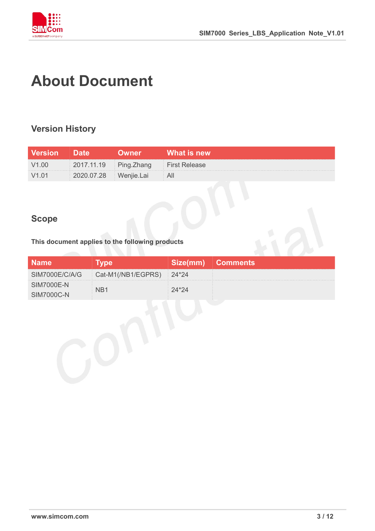

# **About Document**

#### **Version History**

| Version           | <b>IDate</b>          | <b>Owner</b> \ | What is new   |
|-------------------|-----------------------|----------------|---------------|
| V <sub>1.00</sub> | 2017.11.19 Ping.Zhang |                | First Release |
| V1.01             | 2020.07.28 Wenjie.Lai |                |               |

#### **Scope**

**This document applies to the following products**

| <b>Name</b>       | vne                                         | Size(mm) Comments |
|-------------------|---------------------------------------------|-------------------|
|                   | SIM7000E/C/A/G   Cat-M1(/NB1/EGPRS)   24*24 |                   |
| <b>SIM7000E-N</b> |                                             |                   |
| SIM7000C-N        |                                             |                   |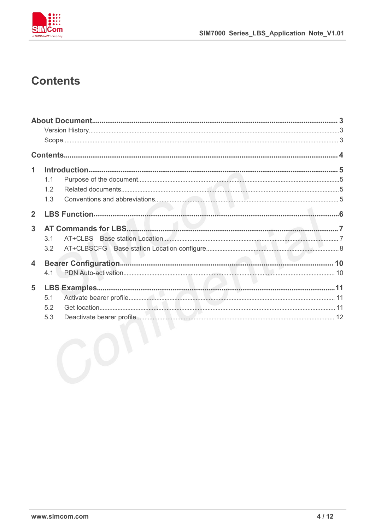

### **Contents**

| 1                       |     |  |
|-------------------------|-----|--|
|                         | 1.1 |  |
|                         | 1.2 |  |
|                         | 1.3 |  |
| $\overline{2}$          |     |  |
| 3                       |     |  |
|                         | 3.1 |  |
|                         | 3.2 |  |
| $\overline{\mathbf{4}}$ |     |  |
|                         | 4.1 |  |
| 5                       |     |  |
|                         | 5.1 |  |
|                         | 5.2 |  |
|                         | 5.3 |  |
|                         |     |  |
|                         |     |  |
|                         |     |  |
|                         |     |  |
|                         |     |  |
|                         |     |  |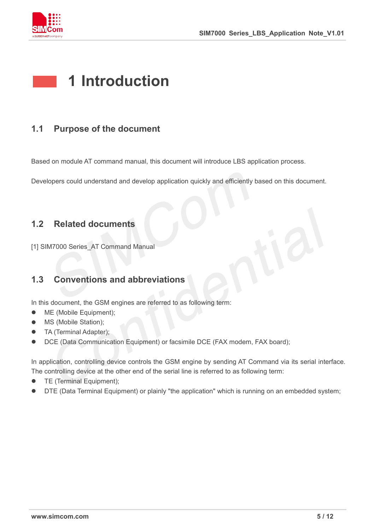

# **1 Introduction**

#### **1.1 Purpose of the document**

Based on module AT command manual, this document will introduce LBS application process.

Developers could understand and develop application quickly and efficiently based on this document.

#### **1.2 Related documents**

[1] SIM7000 Series\_AT Command Manual

#### **1.3 Conventions and abbreviations**

In this document, the GSM engines are referred to as following term:

- ME (Mobile Equipment);
- MS (Mobile Station):
- TA (Terminal Adapter);
- DCE (Data Communication Equipment) or facsimile DCE (FAX modem, FAX board);

In application, controlling device controls the GSM engine by sending AT Command via its serial interface. The controlling device at the other end of the serial line is referred to as following term:

- **•** TE (Terminal Equipment);
- DTE (Data Terminal Equipment) or plainly "the application" which is running on an embedded system;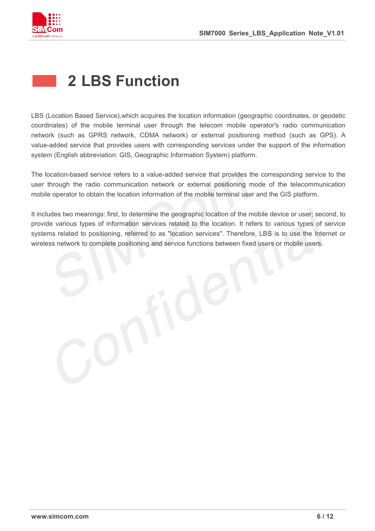

# **2 LBS Function**

LBS (Location Based Service),which acquires the location information (geographic coordinates, or geodetic coordinates) of the mobile terminal user through the telecom mobile operator's radio communication network (such as GPRS network, CDMA network) or external positioning method (such as GPS). A value-added service that provides users with corresponding services under the support of the information system (English abbreviation: GIS, Geographic Information System) platform.

The location-based service refers to a value-added service that provides the corresponding service to the user through the radio communication network or external positioning mode of the telecommunication mobile operator to obtain the location information of the mobile terminal user and the GIS platform.

It includes two meanings: first, to determine the geographic location of the mobile device or user; second, to provide various types of information services related to the location. It refers to various types of service systems related to positioning, referred to as "location services". Therefore, LBS is to use the Internet or wireless network to complete positioning and service functions between fixed users or mobile users.

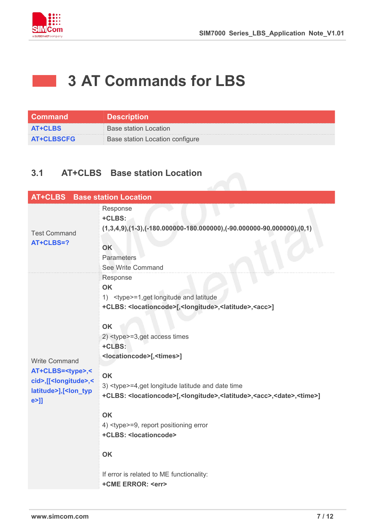

# **3 AT Commands for LBS**

| <b>Command</b>    | <b>Description</b>              |
|-------------------|---------------------------------|
| <b>AT+CLBS</b>    | Base station Location           |
| <b>AT+CLBSCFG</b> | Base station Location configure |

#### **3.1 AT+CLBS Base station Location**

| <b>AT+CLBS</b> Base station Location                                                                                                               |                                                                                                                                                                                                                                                                                                                                                                                                                                                                                                                                                                                                                                                                                             |
|----------------------------------------------------------------------------------------------------------------------------------------------------|---------------------------------------------------------------------------------------------------------------------------------------------------------------------------------------------------------------------------------------------------------------------------------------------------------------------------------------------------------------------------------------------------------------------------------------------------------------------------------------------------------------------------------------------------------------------------------------------------------------------------------------------------------------------------------------------|
| <b>Test Command</b><br>AT+CLBS=?                                                                                                                   | Response<br>+CLBS:<br>$(1,3,4,9), (1-3), (-180.000000 - 180.000000), (-90.000000 - 90.000000), (0,1)$<br>OK<br>Parameters<br>See Write Command                                                                                                                                                                                                                                                                                                                                                                                                                                                                                                                                              |
| <b>Write Command</b><br>AT+CLBS= <type>,&lt;<br/>cid&gt;,[[<longitude>,&lt;<br/>latitude&gt;],[<lon_typ<br>e&gt;]]</lon_typ<br></longitude></type> | Response<br><b>OK</b><br>1) <type>=1,get longitude and latitude<br/>+CLBS: <locationcode>[,<longitude>,<latitude>,<acc>]<br/><b>OK</b><br/>2) <type>=3,get access times<br/>+CLBS:<br/><locationcode>[,<times>]<br/>OK<br/>3) <type>=4,get longitude latitude and date time<br/>+CLBS: <locationcode>[,<longitude>,<latitude>,<acc>,<date>,<time>]<br/><b>OK</b><br/>4) <type>=9, report positioning error<br/>+CLBS: &lt; locationcode&gt;<br/><b>OK</b><br/>If error is related to ME functionality:<br/>+CME ERROR: <err></err></type></time></date></acc></latitude></longitude></locationcode></type></times></locationcode></type></acc></latitude></longitude></locationcode></type> |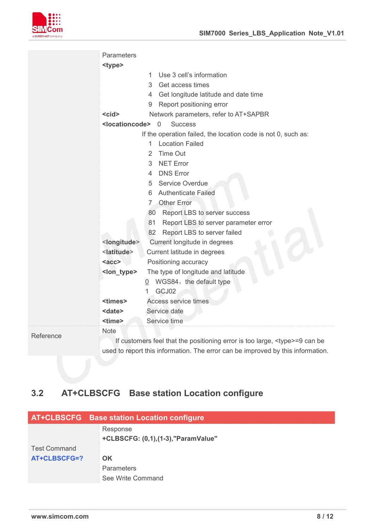

|           | Parameters                    |                                                                                   |
|-----------|-------------------------------|-----------------------------------------------------------------------------------|
|           | <type></type>                 |                                                                                   |
|           |                               | Use 3 cell's information<br>1                                                     |
|           |                               | Get access times<br>3                                                             |
|           |                               | Get longitude latitude and date time<br>4                                         |
|           |                               | Report positioning error<br>9                                                     |
|           | $<$ cid $>$                   | Network parameters, refer to AT+SAPBR                                             |
|           | <locationcode></locationcode> | $\overline{0}$<br><b>Success</b>                                                  |
|           |                               | If the operation failed, the location code is not 0, such as:                     |
|           |                               | <b>Location Failed</b><br>1                                                       |
|           |                               | Time Out<br>2                                                                     |
|           |                               | <b>NET Error</b><br>3                                                             |
|           |                               | <b>DNS Error</b><br>4                                                             |
|           |                               | Service Overdue<br>5                                                              |
|           |                               | <b>Authenticate Failed</b><br>6                                                   |
|           |                               | 7 Other Error                                                                     |
|           |                               | 80 Report LBS to server success                                                   |
|           |                               | Report LBS to server parameter error<br>81                                        |
|           |                               | Report LBS to server failed<br>82                                                 |
|           | <longitude></longitude>       | Current longitude in degrees                                                      |
|           | <latitude></latitude>         | Current latitude in degrees                                                       |
|           | $rac{c}{a}$                   | Positioning accuracy                                                              |
|           | <lon_type></lon_type>         | The type of longitude and latitude                                                |
|           |                               | $Q$ WGS84, the default type                                                       |
|           |                               | GCJ02                                                                             |
|           | <times></times>               | Access service times                                                              |
|           | <date></date>                 | Service date                                                                      |
|           | <time></time>                 | Service time                                                                      |
| Reference | <b>Note</b>                   |                                                                                   |
|           |                               | If customers feel that the positioning error is too large, <type>=9 can be</type> |
|           |                               | used to report this information. The error can be improved by this information.   |

### **3.2 AT+CLBSCFG Base station Location configure**

|                     | AT+CLBSCFG Base station Location configure |
|---------------------|--------------------------------------------|
|                     | Response                                   |
|                     | +CLBSCFG: (0,1), (1-3), "ParamValue"       |
| <b>Test Command</b> |                                            |
| AT+CLBSCFG=?        | <b>OK</b>                                  |
|                     | <b>Parameters</b>                          |
|                     | See Write Command                          |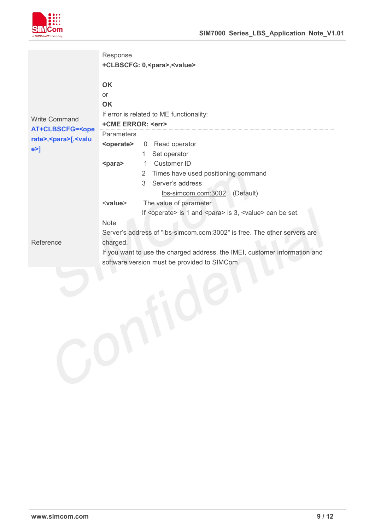

| <b>Write Command</b><br><b>AT+CLBSCFG=<ope< b=""><br/>rate&gt;,<para>[,<valu<br><math>e &gt;</math>]</valu<br></para></ope<></b> | Response<br>+CLBSCFG: 0, <para>,<value><br/>OK<br/>or<br/>OK<br/>If error is related to ME functionality:<br/>+CME ERROR: <err><br/>Parameters<br/><operate><br/>0 Read operator<br/>Set operator<br/>1.<br/>Customer ID<br/><para><br/>1<br/>2 Times have used positioning command<br/>Server's address<br/>3<br/>lbs-simcom.com:3002 (Default)<br/>The value of parameter<br/><value><br/>If <operate> is 1 and <para> is 3, <value> can be set.</value></para></operate></value></para></operate></err></value></para> |
|----------------------------------------------------------------------------------------------------------------------------------|---------------------------------------------------------------------------------------------------------------------------------------------------------------------------------------------------------------------------------------------------------------------------------------------------------------------------------------------------------------------------------------------------------------------------------------------------------------------------------------------------------------------------|
| Reference                                                                                                                        | Note<br>Server's address of "lbs-simcom.com:3002" is free. The other servers are<br>charged.<br>If you want to use the charged address, the IMEI, customer information and                                                                                                                                                                                                                                                                                                                                                |
|                                                                                                                                  | software version must be provided to SIMCom.                                                                                                                                                                                                                                                                                                                                                                                                                                                                              |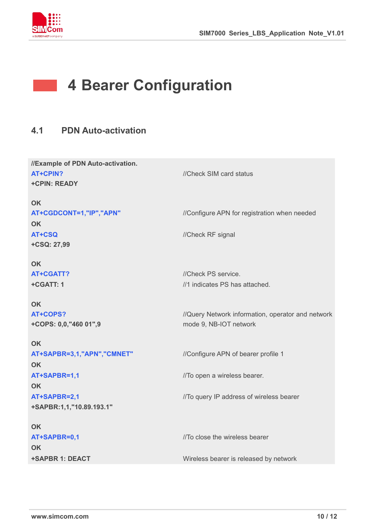

# **4 Bearer Configuration**

### **4.1 PDN Auto-activation**

| //Example of PDN Auto-activation. |                                                   |  |
|-----------------------------------|---------------------------------------------------|--|
| <b>AT+CPIN?</b>                   | //Check SIM card status                           |  |
| <b>+CPIN: READY</b>               |                                                   |  |
| <b>OK</b>                         |                                                   |  |
|                                   |                                                   |  |
| AT+CGDCONT=1,"IP","APN"           | //Configure APN for registration when needed      |  |
| <b>OK</b>                         |                                                   |  |
| AT+CSQ                            | //Check RF signal                                 |  |
| +CSQ: 27,99                       |                                                   |  |
| <b>OK</b>                         |                                                   |  |
| <b>AT+CGATT?</b>                  | //Check PS service.                               |  |
| +CGATT: 1                         | //1 indicates PS has attached.                    |  |
|                                   |                                                   |  |
| <b>OK</b>                         |                                                   |  |
| AT+COPS?                          | //Query Network information, operator and network |  |
| +COPS: 0,0,"460 01",9             | mode 9, NB-IOT network                            |  |
|                                   |                                                   |  |
| <b>OK</b>                         |                                                   |  |
| AT+SAPBR=3,1,"APN","CMNET"        | //Configure APN of bearer profile 1               |  |
| <b>OK</b>                         |                                                   |  |
| AT+SAPBR=1,1                      | //To open a wireless bearer.                      |  |
| <b>OK</b>                         |                                                   |  |
| AT+SAPBR=2,1                      | //To query IP address of wireless bearer          |  |
| +SAPBR:1,1,"10.89.193.1"          |                                                   |  |
| <b>OK</b>                         |                                                   |  |
| AT+SAPBR=0,1                      | //To close the wireless bearer                    |  |
|                                   |                                                   |  |
| <b>OK</b>                         |                                                   |  |
| +SAPBR 1: DEACT                   | Wireless bearer is released by network            |  |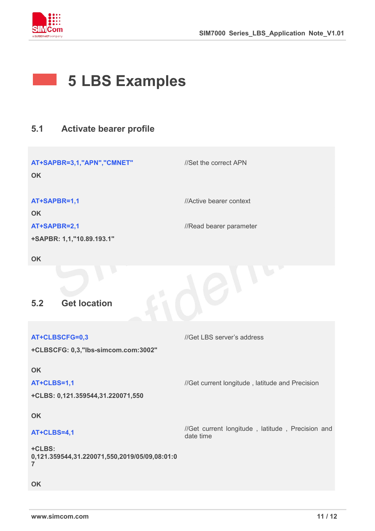

# **5 LBS Examples**

### **5.1 Activate bearer profile**

| AT+SAPBR=3,1,"APN","CMNET"<br>OK                                          | //Set the correct APN                                         |
|---------------------------------------------------------------------------|---------------------------------------------------------------|
| AT+SAPBR=1,1                                                              | //Active bearer context                                       |
| <b>OK</b>                                                                 |                                                               |
| AT+SAPBR=2,1                                                              | //Read bearer parameter                                       |
| +SAPBR: 1,1,"10.89.193.1"                                                 |                                                               |
| OK                                                                        |                                                               |
| <b>Get location</b><br>5.2                                                |                                                               |
|                                                                           |                                                               |
|                                                                           |                                                               |
| AT+CLBSCFG=0,3                                                            | //Get LBS server's address                                    |
| +CLBSCFG: 0,3,"lbs-simcom.com:3002"                                       |                                                               |
| OK                                                                        |                                                               |
| AT+CLBS=1,1                                                               | //Get current longitude, latitude and Precision               |
| +CLBS: 0,121.359544,31.220071,550                                         |                                                               |
| OK                                                                        |                                                               |
| AT+CLBS=4,1                                                               | //Get current longitude, latitude, Precision and<br>date time |
| +CLBS:<br>0,121.359544,31.220071,550,2019/05/09,08:01:0<br>$\overline{7}$ |                                                               |
| OK                                                                        |                                                               |
|                                                                           |                                                               |